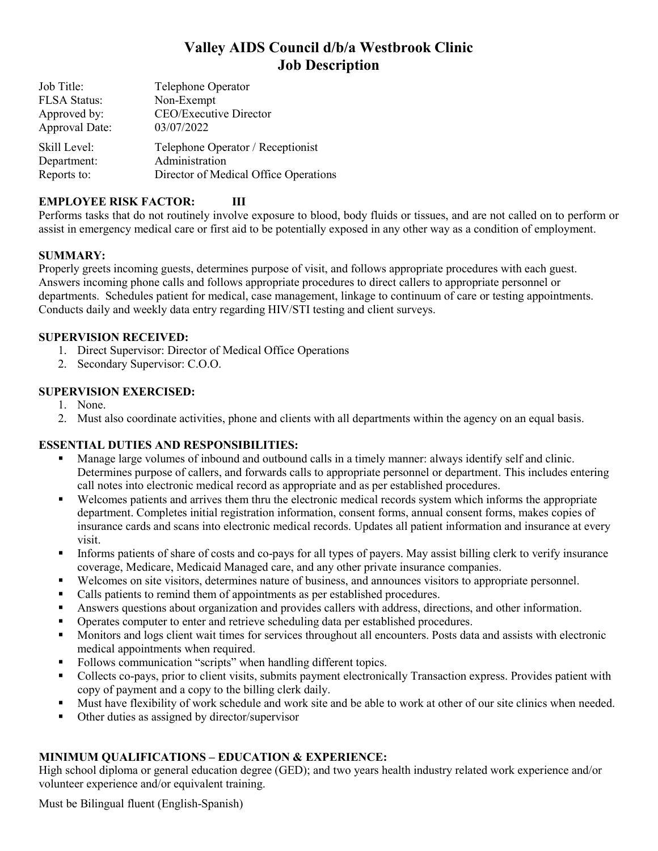# **Valley AIDS Council d/b/a Westbrook Clinic Job Description**

| Telephone Operator                    |
|---------------------------------------|
| Non-Exempt                            |
| CEO/Executive Director                |
| 03/07/2022                            |
| Telephone Operator / Receptionist     |
| Administration                        |
| Director of Medical Office Operations |
|                                       |

## **EMPLOYEE RISK FACTOR: III**

Performs tasks that do not routinely involve exposure to blood, body fluids or tissues, and are not called on to perform or assist in emergency medical care or first aid to be potentially exposed in any other way as a condition of employment.

## **SUMMARY:**

Properly greets incoming guests, determines purpose of visit, and follows appropriate procedures with each guest. Answers incoming phone calls and follows appropriate procedures to direct callers to appropriate personnel or departments. Schedules patient for medical, case management, linkage to continuum of care or testing appointments. Conducts daily and weekly data entry regarding HIV/STI testing and client surveys.

## **SUPERVISION RECEIVED:**

1. Direct Supervisor: Director of Medical Office Operations

2. Secondary Supervisor: C.O.O.

## **SUPERVISION EXERCISED:**

- 1. None.
- 2. Must also coordinate activities, phone and clients with all departments within the agency on an equal basis.

## **ESSENTIAL DUTIES AND RESPONSIBILITIES:**

- Manage large volumes of inbound and outbound calls in a timely manner: always identify self and clinic. Determines purpose of callers, and forwards calls to appropriate personnel or department. This includes entering call notes into electronic medical record as appropriate and as per established procedures.
- Welcomes patients and arrives them thru the electronic medical records system which informs the appropriate department. Completes initial registration information, consent forms, annual consent forms, makes copies of insurance cards and scans into electronic medical records. Updates all patient information and insurance at every visit.
- Informs patients of share of costs and co-pays for all types of payers. May assist billing clerk to verify insurance coverage, Medicare, Medicaid Managed care, and any other private insurance companies.
- Welcomes on site visitors, determines nature of business, and announces visitors to appropriate personnel.
- Calls patients to remind them of appointments as per established procedures.
- Answers questions about organization and provides callers with address, directions, and other information.
- Operates computer to enter and retrieve scheduling data per established procedures.
- Monitors and logs client wait times for services throughout all encounters. Posts data and assists with electronic medical appointments when required.
- Follows communication "scripts" when handling different topics.
- Collects co-pays, prior to client visits, submits payment electronically Transaction express. Provides patient with copy of payment and a copy to the billing clerk daily.
- Must have flexibility of work schedule and work site and be able to work at other of our site clinics when needed.
- Other duties as assigned by director/supervisor

## **MINIMUM QUALIFICATIONS – EDUCATION & EXPERIENCE:**

High school diploma or general education degree (GED); and two years health industry related work experience and/or volunteer experience and/or equivalent training.

Must be Bilingual fluent (English-Spanish)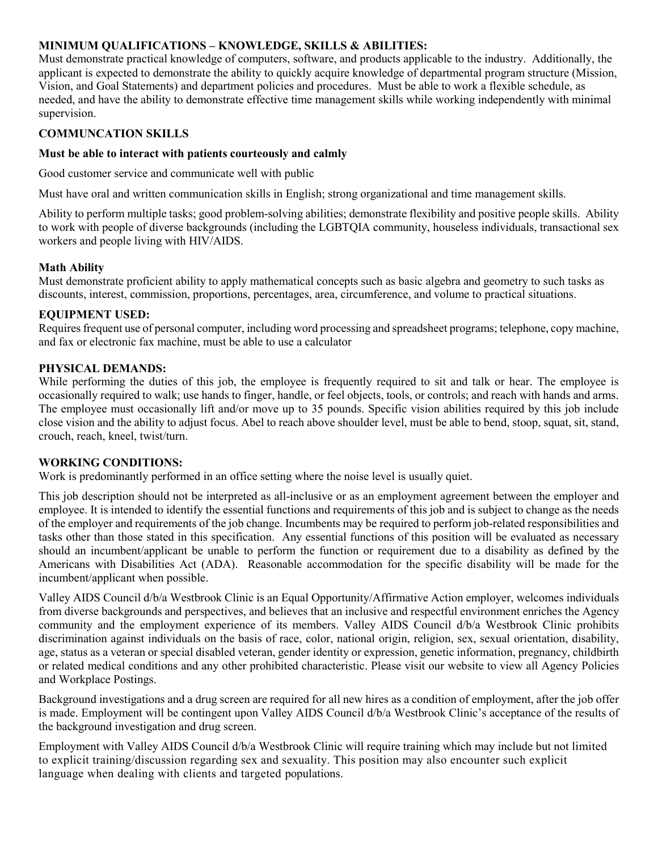#### **MINIMUM QUALIFICATIONS – KNOWLEDGE, SKILLS & ABILITIES:**

Must demonstrate practical knowledge of computers, software, and products applicable to the industry. Additionally, the applicant is expected to demonstrate the ability to quickly acquire knowledge of departmental program structure (Mission, Vision, and Goal Statements) and department policies and procedures. Must be able to work a flexible schedule, as needed, and have the ability to demonstrate effective time management skills while working independently with minimal supervision.

## **COMMUNCATION SKILLS**

#### **Must be able to interact with patients courteously and calmly**

Good customer service and communicate well with public

Must have oral and written communication skills in English; strong organizational and time management skills.

Ability to perform multiple tasks; good problem-solving abilities; demonstrate flexibility and positive people skills. Ability to work with people of diverse backgrounds (including the LGBTQIA community, houseless individuals, transactional sex workers and people living with HIV/AIDS.

#### **Math Ability**

Must demonstrate proficient ability to apply mathematical concepts such as basic algebra and geometry to such tasks as discounts, interest, commission, proportions, percentages, area, circumference, and volume to practical situations.

#### **EQUIPMENT USED:**

Requires frequent use of personal computer, including word processing and spreadsheet programs; telephone, copy machine, and fax or electronic fax machine, must be able to use a calculator

#### **PHYSICAL DEMANDS:**

While performing the duties of this job, the employee is frequently required to sit and talk or hear. The employee is occasionally required to walk; use hands to finger, handle, or feel objects, tools, or controls; and reach with hands and arms. The employee must occasionally lift and/or move up to 35 pounds. Specific vision abilities required by this job include close vision and the ability to adjust focus. Abel to reach above shoulder level, must be able to bend, stoop, squat, sit, stand, crouch, reach, kneel, twist/turn.

#### **WORKING CONDITIONS:**

Work is predominantly performed in an office setting where the noise level is usually quiet.

This job description should not be interpreted as all-inclusive or as an employment agreement between the employer and employee. It is intended to identify the essential functions and requirements of this job and is subject to change as the needs of the employer and requirements of the job change. Incumbents may be required to perform job-related responsibilities and tasks other than those stated in this specification. Any essential functions of this position will be evaluated as necessary should an incumbent/applicant be unable to perform the function or requirement due to a disability as defined by the Americans with Disabilities Act (ADA). Reasonable accommodation for the specific disability will be made for the incumbent/applicant when possible.

Valley AIDS Council d/b/a Westbrook Clinic is an Equal Opportunity/Affirmative Action employer, welcomes individuals from diverse backgrounds and perspectives, and believes that an inclusive and respectful environment enriches the Agency community and the employment experience of its members. Valley AIDS Council d/b/a Westbrook Clinic prohibits discrimination against individuals on the basis of race, color, national origin, religion, sex, sexual orientation, disability, age, status as a veteran or special disabled veteran, gender identity or expression, genetic information, pregnancy, childbirth or related medical conditions and any other prohibited characteristic. Please visit our website to view all Agency Policies and Workplace Postings.

Background investigations and a drug screen are required for all new hires as a condition of employment, after the job offer is made. Employment will be contingent upon Valley AIDS Council d/b/a Westbrook Clinic's acceptance of the results of the background investigation and drug screen.

Employment with Valley AIDS Council d/b/a Westbrook Clinic will require training which may include but not limited to explicit training/discussion regarding sex and sexuality. This position may also encounter such explicit language when dealing with clients and targeted populations.